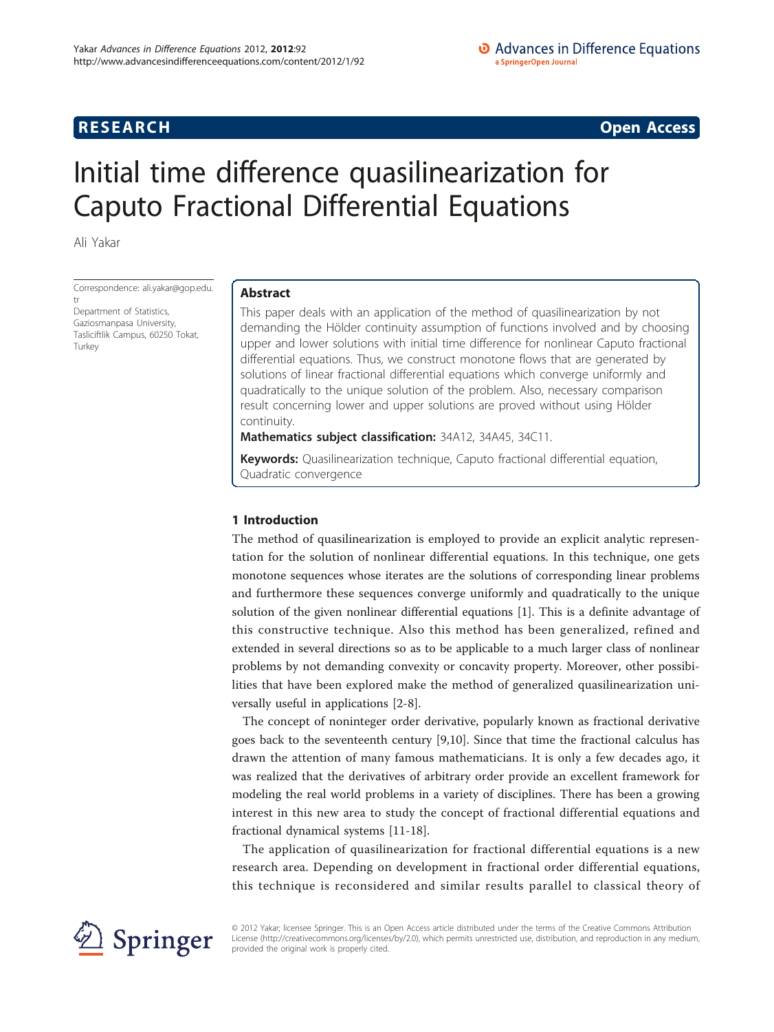**RESEARCH CONSTRUCTION CONSTRUCTS** 

# Initial time difference quasilinearization for Caputo Fractional Differential Equations

Ali Yakar

Correspondence: [ali.yakar@gop.edu.](mailto:ali.yakar@gop.edu.tr)

[tr](mailto:ali.yakar@gop.edu.tr) Department of Statistics, Gaziosmanpasa University, Tasliciftlik Campus, 60250 Tokat, Turkey

# Abstract

This paper deals with an application of the method of quasilinearization by not demanding the Hölder continuity assumption of functions involved and by choosing upper and lower solutions with initial time difference for nonlinear Caputo fractional differential equations. Thus, we construct monotone flows that are generated by solutions of linear fractional differential equations which converge uniformly and quadratically to the unique solution of the problem. Also, necessary comparison result concerning lower and upper solutions are proved without using Hölder continuity.

Mathematics subject classification: 34A12, 34A45, 34C11.

Keywords: Quasilinearization technique, Caputo fractional differential equation, Quadratic convergence

# 1 Introduction

The method of quasilinearization is employed to provide an explicit analytic representation for the solution of nonlinear differential equations. In this technique, one gets monotone sequences whose iterates are the solutions of corresponding linear problems and furthermore these sequences converge uniformly and quadratically to the unique solution of the given nonlinear differential equations [\[1](#page-7-0)]. This is a definite advantage of this constructive technique. Also this method has been generalized, refined and extended in several directions so as to be applicable to a much larger class of nonlinear problems by not demanding convexity or concavity property. Moreover, other possibilities that have been explored make the method of generalized quasilinearization universally useful in applications [\[2](#page-7-0)-[8\]](#page-7-0).

The concept of noninteger order derivative, popularly known as fractional derivative goes back to the seventeenth century [\[9,10\]](#page-7-0). Since that time the fractional calculus has drawn the attention of many famous mathematicians. It is only a few decades ago, it was realized that the derivatives of arbitrary order provide an excellent framework for modeling the real world problems in a variety of disciplines. There has been a growing interest in this new area to study the concept of fractional differential equations and fractional dynamical systems [\[11](#page-7-0)-[18\]](#page-8-0).

The application of quasilinearization for fractional differential equations is a new research area. Depending on development in fractional order differential equations, this technique is reconsidered and similar results parallel to classical theory of



© 2012 Yakar; licensee Springer. This is an Open Access article distributed under the terms of the Creative Commons Attribution License [\(http://creativecommons.org/licenses/by/2.0](http://creativecommons.org/licenses/by/2.0)), which permits unrestricted use, distribution, and reproduction in any medium, provided the original work is properly cited.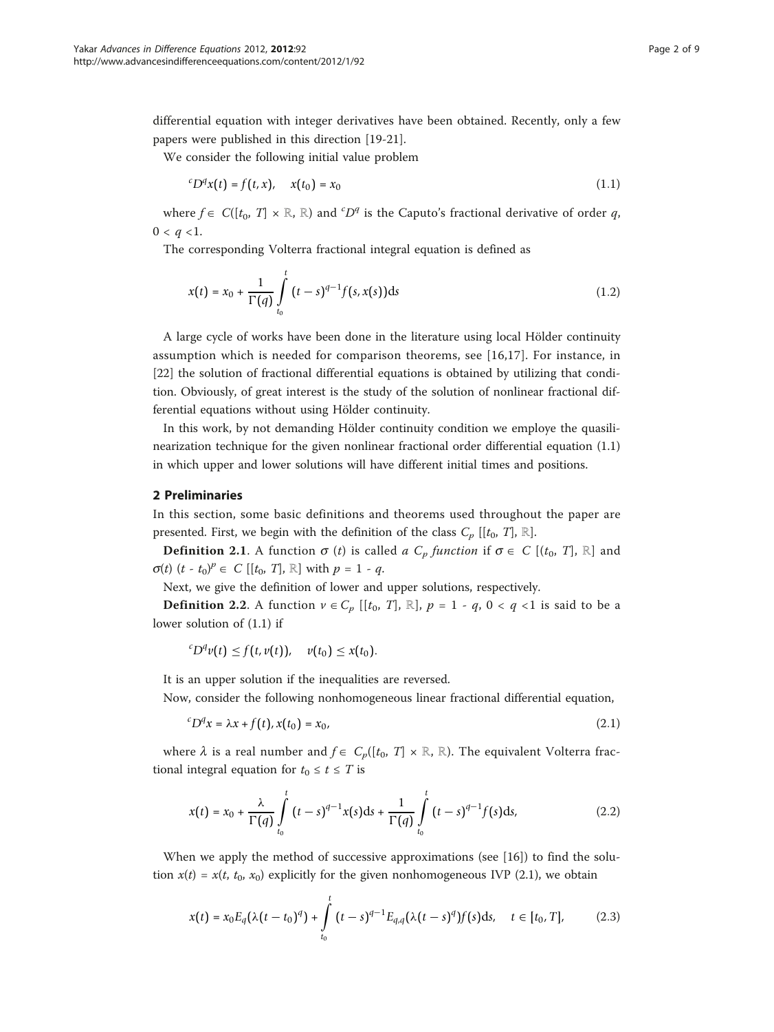differential equation with integer derivatives have been obtained. Recently, only a few papers were published in this direction [\[19](#page-8-0)-[21](#page-8-0)].

We consider the following initial value problem

$$
{}^{c}D^{q}x(t) = f(t, x), \quad x(t_0) = x_0 \tag{1.1}
$$

where  $f \in C([t_0, T] \times \mathbb{R}, \mathbb{R})$  and  ${}^cD^q$  is the Caputo's fractional derivative of order q,  $0 < q < 1$ .

The corresponding Volterra fractional integral equation is defined as

$$
x(t) = x_0 + \frac{1}{\Gamma(q)} \int_{t_0}^t (t-s)^{q-1} f(s, x(s)) \, ds \tag{1.2}
$$

A large cycle of works have been done in the literature using local Hölder continuity assumption which is needed for comparison theorems, see [[16](#page-8-0),[17\]](#page-8-0). For instance, in [[22\]](#page-8-0) the solution of fractional differential equations is obtained by utilizing that condition. Obviously, of great interest is the study of the solution of nonlinear fractional differential equations without using Hölder continuity.

In this work, by not demanding Hölder continuity condition we employe the quasilinearization technique for the given nonlinear fractional order differential equation (1.1) in which upper and lower solutions will have different initial times and positions.

# 2 Preliminaries

In this section, some basic definitions and theorems used throughout the paper are presented. First, we begin with the definition of the class  $C_p$  [[t<sub>0</sub>, T], ℝ].

**Definition 2.1.** A function  $\sigma$  (t) is called a  $C_p$  function if  $\sigma \in C$  [(t<sub>0</sub>, T], ℝ] and  $\sigma(t)$   $(t - t_0)^p \in C [[t_0, T], \mathbb{R}]$  with  $p = 1 - q$ .

Next, we give the definition of lower and upper solutions, respectively.

**Definition 2.2**. A function  $v \in C_p$  [[t<sub>0</sub>, T], ℝ],  $p = 1 - q$ , 0 < q <1 is said to be a lower solution of (1.1) if

$$
{}^cD^q v(t) \leq f(t,v(t)), \quad v(t_0) \leq x(t_0).
$$

It is an upper solution if the inequalities are reversed.

Now, consider the following nonhomogeneous linear fractional differential equation,

$$
{}^{c}D^{q}x = \lambda x + f(t), x(t_0) = x_0,
$$
\n
$$
(2.1)
$$

where  $\lambda$  is a real number and  $f \in C_p([t_0, T] \times \mathbb{R}, \mathbb{R})$ . The equivalent Volterra fractional integral equation for  $t_0 \le t \le T$  is

$$
x(t) = x_0 + \frac{\lambda}{\Gamma(q)} \int_{t_0}^t (t-s)^{q-1} x(s) ds + \frac{1}{\Gamma(q)} \int_{t_0}^t (t-s)^{q-1} f(s) ds,
$$
 (2.2)

When we apply the method of successive approximations (see [\[16](#page-8-0)]) to find the solution  $x(t) = x(t, t_0, x_0)$  explicitly for the given nonhomogeneous IVP (2.1), we obtain

$$
x(t) = x_0 E_q(\lambda(t - t_0)^q) + \int_{t_0}^t (t - s)^{q-1} E_{q,q}(\lambda(t - s)^q) f(s) ds, \quad t \in [t_0, T],
$$
 (2.3)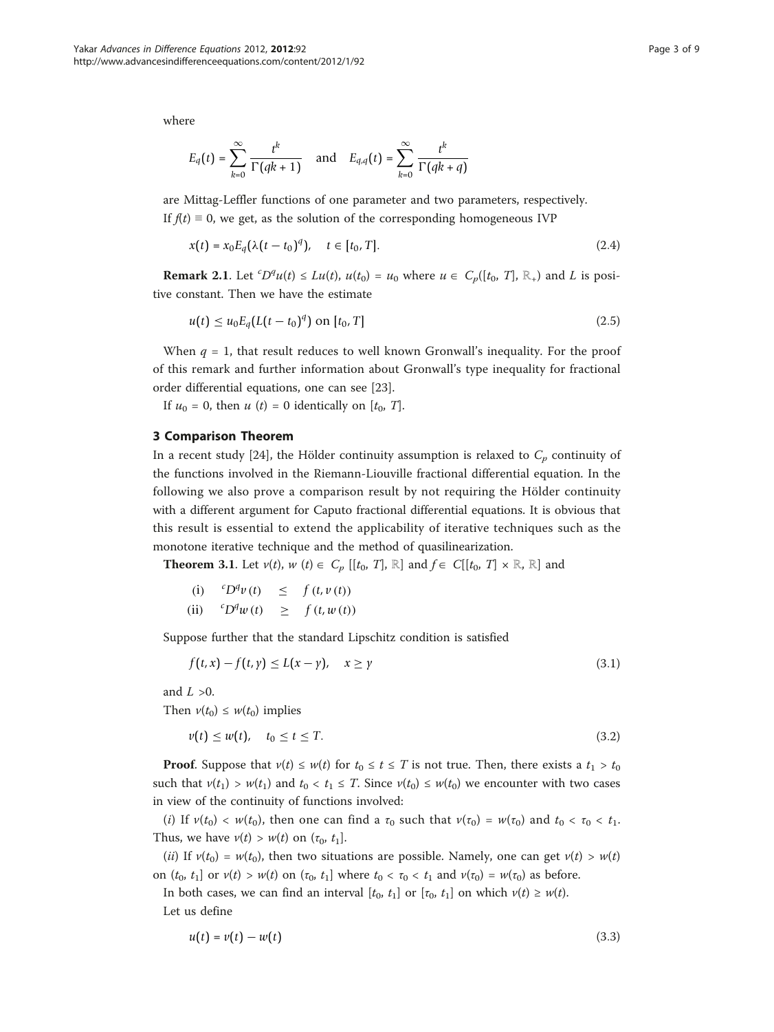where

$$
E_q(t) = \sum_{k=0}^{\infty} \frac{t^k}{\Gamma(qk+1)} \quad \text{and} \quad E_{q,q}(t) = \sum_{k=0}^{\infty} \frac{t^k}{\Gamma(qk+q)}
$$

are Mittag-Leffler functions of one parameter and two parameters, respectively. If  $f(t) \equiv 0$ , we get, as the solution of the corresponding homogeneous IVP

$$
x(t) = x_0 E_q(\lambda(t - t_0)^q), \quad t \in [t_0, T].
$$
\n(2.4)

**Remark 2.1**. Let  ${}^cD^qu(t) \leq Lu(t)$ ,  $u(t_0) = u_0$  where  $u \in C_p([t_0, T], \mathbb{R}_+)$  and L is positive constant. Then we have the estimate

$$
u(t) \le u_0 E_q(L(t-t_0)^q) \text{ on } [t_0, T] \tag{2.5}
$$

When  $q = 1$ , that result reduces to well known Gronwall's inequality. For the proof of this remark and further information about Gronwall's type inequality for fractional order differential equations, one can see [[23\]](#page-8-0).

If  $u_0 = 0$ , then  $u(t) = 0$  identically on  $[t_0, T]$ .

### 3 Comparison Theorem

In a recent study [[24\]](#page-8-0), the Hölder continuity assumption is relaxed to  $C_p$  continuity of the functions involved in the Riemann-Liouville fractional differential equation. In the following we also prove a comparison result by not requiring the Hölder continuity with a different argument for Caputo fractional differential equations. It is obvious that this result is essential to extend the applicability of iterative techniques such as the monotone iterative technique and the method of quasilinearization.

**Theorem 3.1.** Let  $v(t)$ ,  $w(t) \in C_p$  [[t<sub>0</sub>, T], ℝ] and  $f \in C[[t_0, T] \times \mathbb{R}, \mathbb{R}]$  and

| (i)  | ${}^{c}D^{q}v(t)$ | $\leq$ | f(t, v(t)) |
|------|-------------------|--------|------------|
| (ii) | ${}^cD^q w(t)$    |        | f(t, w(t)) |

Suppose further that the standard Lipschitz condition is satisfied

$$
f(t,x) - f(t,y) \le L(x-y), \quad x \ge y \tag{3.1}
$$

and  $L > 0$ .

Then  $v(t_0) \leq w(t_0)$  implies

$$
v(t) \le w(t), \quad t_0 \le t \le T. \tag{3.2}
$$

**Proof.** Suppose that  $v(t) \leq w(t)$  for  $t_0 \leq t \leq T$  is not true. Then, there exists a  $t_1 > t_0$ such that  $v(t_1) > w(t_1)$  and  $t_0 < t_1 \leq T$ . Since  $v(t_0) \leq w(t_0)$  we encounter with two cases in view of the continuity of functions involved:

(i) If  $v(t_0) < w(t_0)$ , then one can find a  $\tau_0$  such that  $v(\tau_0) = w(\tau_0)$  and  $t_0 < \tau_0 < t_1$ . Thus, we have  $v(t) > w(t)$  on  $(\tau_0, t_1]$ .

(ii) If  $v(t_0) = w(t_0)$ , then two situations are possible. Namely, one can get  $v(t) > w(t)$ on  $(t_0, t_1]$  or  $v(t) > w(t)$  on  $(\tau_0, t_1]$  where  $t_0 < \tau_0 < t_1$  and  $v(\tau_0) = w(\tau_0)$  as before.

In both cases, we can find an interval  $[t_0, t_1]$  or  $[\tau_0, t_1]$  on which  $v(t) \geq w(t)$ . Let us define

$$
u(t) = v(t) - w(t) \tag{3.3}
$$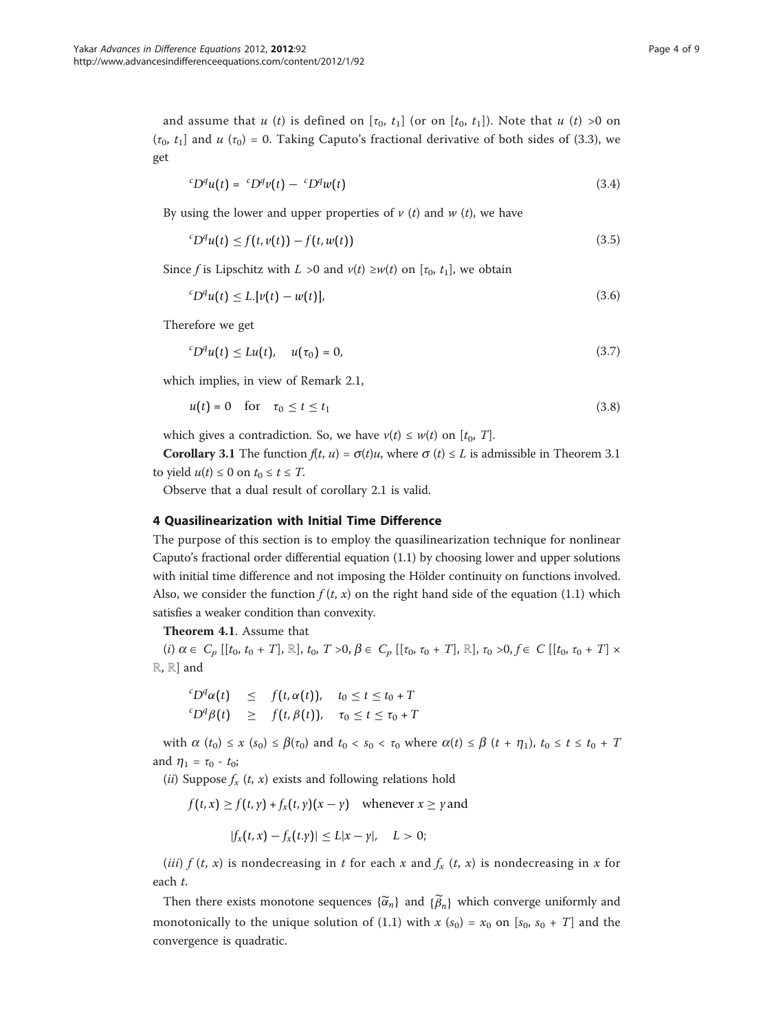and assume that u (t) is defined on  $[\tau_0, t_1]$  (or on  $[t_0, t_1]$ ). Note that u (t) >0 on ( $\tau_0$ ,  $t_1$ ] and  $u(\tau_0) = 0$ . Taking Caputo's fractional derivative of both sides of (3.3), we get

$$
{}^{c}D^{q}u(t) = {}^{c}D^{q}v(t) - {}^{c}D^{q}w(t)
$$
\n(3.4)

By using the lower and upper properties of  $v(t)$  and  $w(t)$ , we have

$$
{}^{c}D^{q}u(t) \le f(t,v(t)) - f(t,w(t)) \tag{3.5}
$$

Since f is Lipschitz with  $L > 0$  and  $v(t) \geq w(t)$  on  $[\tau_0, t_1]$ , we obtain

$$
{}^{c}D^{q}u(t) \leq L\left[v(t) - w(t)\right],\tag{3.6}
$$

Therefore we get

$$
{}^{c}D^{q}u(t) \le Lu(t), \quad u(\tau_0) = 0, \tag{3.7}
$$

which implies, in view of Remark 2.1,

$$
u(t) = 0 \quad \text{for} \quad \tau_0 \le t \le t_1 \tag{3.8}
$$

which gives a contradiction. So, we have  $v(t) \leq w(t)$  on  $[t_0, T]$ .

**Corollary 3.1** The function  $f(t, u) = \sigma(t)u$ , where  $\sigma(t) \leq L$  is admissible in Theorem 3.1 to yield  $u(t) \leq 0$  on  $t_0 \leq t \leq T$ .

Observe that a dual result of corollary 2.1 is valid.

## 4 Quasilinearization with Initial Time Difference

The purpose of this section is to employ the quasilinearization technique for nonlinear Caputo's fractional order differential equation (1.1) by choosing lower and upper solutions with initial time difference and not imposing the Hölder continuity on functions involved. Also, we consider the function  $f(t, x)$  on the right hand side of the equation (1.1) which satisfies a weaker condition than convexity.

Theorem 4.1. Assume that

(i)  $\alpha \in C_p$  [[t<sub>0</sub>, t<sub>0</sub> + T], ℝ], t<sub>0</sub>, T > 0,  $\beta \in C_p$  [[τ<sub>0</sub>, τ<sub>0</sub> + T], ℝ], τ<sub>0</sub> > 0, f ∈ C [[t<sub>0</sub>, τ<sub>0</sub> + T] × ℝ, ℝ] and

$$
\begin{array}{rcl}\n^{c}D^{q}\alpha(t) & \leq & f\left(t,\alpha(t)\right), \quad t_{0} \leq t \leq t_{0} + T \\
^{c}D^{q}\beta(t) & \geq & f\left(t,\beta(t)\right), \quad \tau_{0} \leq t \leq \tau_{0} + T\n\end{array}
$$

with  $\alpha$   $(t_0) \leq x$   $(s_0) \leq \beta(\tau_0)$  and  $t_0 < s_0 < \tau_0$  where  $\alpha(t) \leq \beta$   $(t + \eta_1)$ ,  $t_0 \leq t \leq t_0 + T$ and  $\eta_1 = \tau_0 - t_0$ ;

(*ii*) Suppose  $f_x(t, x)$  exists and following relations hold

 $f(t, x) \ge f(t, y) + f_x(t, y)(x - y)$  whenever  $x \ge y$  and

$$
|f_x(t,x)-f_x(t,y)|\leq L|x-y|, \quad L>0;
$$

(iii)  $f(t, x)$  is nondecreasing in t for each x and  $f_x(t, x)$  is nondecreasing in x for each t.

Then there exists monotone sequences  $\{\widetilde{\alpha}_n\}$  and  $\{\widetilde{\beta}_n\}$  which converge uniformly and monotonically to the unique solution of (1.1) with  $x(s_0) = x_0$  on  $[s_0, s_0 + T]$  and the convergence is quadratic.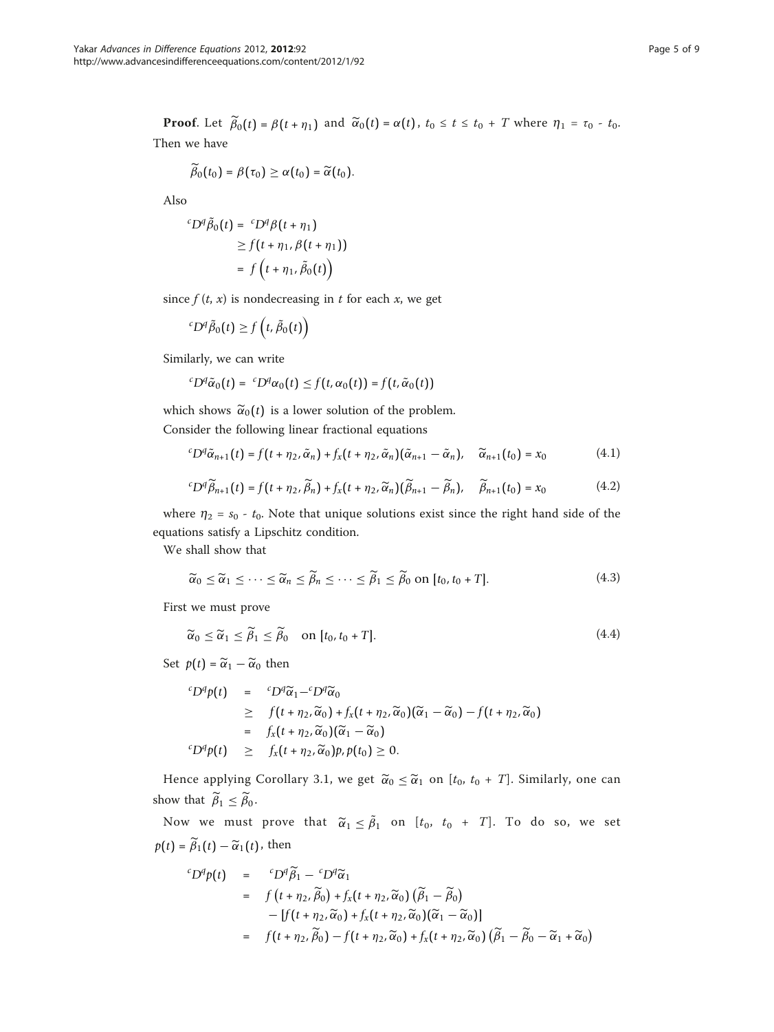**Proof.** Let  $\tilde{\beta}_0(t) = \beta(t + \eta_1)$  and  $\tilde{\alpha}_0(t) = \alpha(t)$ ,  $t_0 \le t \le t_0 + T$  where  $\eta_1 = \tau_0 - t_0$ . Then we have

$$
\widetilde{\beta}_0(t_0)=\beta(\tau_0)\geq \alpha(t_0)=\widetilde{\alpha}(t_0).
$$

Also

$$
{}^{c}D^{q}\tilde{\beta}_{0}(t) = {}^{c}D^{q}\beta(t + \eta_{1})
$$
  
\n
$$
\geq f(t + \eta_{1}, \beta(t + \eta_{1}))
$$
  
\n
$$
= f(t + \eta_{1}, \tilde{\beta}_{0}(t))
$$

since  $f(t, x)$  is nondecreasing in t for each x, we get

$$
{}^cD^q\tilde{\beta}_0(t) \ge f\left(t, \tilde{\beta}_0(t)\right)
$$

Similarly, we can write

$$
{}^{c}D^{q}\tilde{\alpha}_{0}(t) = {}^{c}D^{q}\alpha_{0}(t) \leq f(t, \alpha_{0}(t)) = f(t, \tilde{\alpha}_{0}(t))
$$

which shows  $\tilde{\alpha}_0(t)$  is a lower solution of the problem. Consider the following linear fractional equations

$$
{}^{c}D^{q}\tilde{\alpha}_{n+1}(t) = f(t + \eta_2, \tilde{\alpha}_n) + f_x(t + \eta_2, \tilde{\alpha}_n)(\tilde{\alpha}_{n+1} - \tilde{\alpha}_n), \quad \tilde{\alpha}_{n+1}(t_0) = x_0 \tag{4.1}
$$

$$
{}^{c}D^{q}\widetilde{\beta}_{n+1}(t) = f(t + \eta_2, \widetilde{\beta}_n) + f_x(t + \eta_2, \widetilde{\alpha}_n)(\widetilde{\beta}_{n+1} - \widetilde{\beta}_n), \quad \widetilde{\beta}_{n+1}(t_0) = x_0 \tag{4.2}
$$

where  $\eta_2 = s_0 - t_0$ . Note that unique solutions exist since the right hand side of the equations satisfy a Lipschitz condition.

We shall show that

$$
\widetilde{\alpha}_0 \le \widetilde{\alpha}_1 \le \cdots \le \widetilde{\alpha}_n \le \widetilde{\beta}_n \le \cdots \le \widetilde{\beta}_1 \le \widetilde{\beta}_0 \text{ on } [t_0, t_0 + T]. \tag{4.3}
$$

First we must prove

$$
\widetilde{\alpha}_0 \le \widetilde{\alpha}_1 \le \widetilde{\beta}_1 \le \widetilde{\beta}_0 \quad \text{on } [t_0, t_0 + T]. \tag{4.4}
$$

Set  $p(t) = \tilde{\alpha}_1 - \tilde{\alpha}_0$  then

$$
{}^{c}D^{q}p(t) = {}^{c}D^{q}\widetilde{\alpha}_{1} - {}^{c}D^{q}\widetilde{\alpha}_{0}
$$
  
\n
$$
\geq f(t + \eta_{2}, \widetilde{\alpha}_{0}) + f_{x}(t + \eta_{2}, \widetilde{\alpha}_{0})(\widetilde{\alpha}_{1} - \widetilde{\alpha}_{0}) - f(t + \eta_{2}, \widetilde{\alpha}_{0})
$$
  
\n
$$
= f_{x}(t + \eta_{2}, \widetilde{\alpha}_{0})(\widetilde{\alpha}_{1} - \widetilde{\alpha}_{0})
$$
  
\n
$$
{}^{c}D^{q}p(t) \geq f_{x}(t + \eta_{2}, \widetilde{\alpha}_{0})p, p(t_{0}) \geq 0.
$$

Hence applying Corollary 3.1, we get  $\widetilde{\alpha}_0 \leq \widetilde{\alpha}_1$  on  $[t_0, t_0 + T]$ . Similarly, one can show that  $\beta_1 \leq \beta_0$ .

Now we must prove that  $\widetilde{\alpha}_1 \le \widetilde{\beta}_1$  on  $[t_0, t_0 + T]$ . To do so, we set  $p(t) = \tilde{\beta}_1(t) - \tilde{\alpha}_1(t)$ , then

$$
{}^{c}D^{q}p(t) = {}^{c}D^{q}\widetilde{\beta}_{1} - {}^{c}D^{q}\widetilde{\alpha}_{1}
$$
  
\n
$$
= f(t + \eta_{2}, \widetilde{\beta}_{0}) + f_{x}(t + \eta_{2}, \widetilde{\alpha}_{0}) (\widetilde{\beta}_{1} - \widetilde{\beta}_{0})
$$
  
\n
$$
- [f(t + \eta_{2}, \widetilde{\alpha}_{0}) + f_{x}(t + \eta_{2}, \widetilde{\alpha}_{0}) (\widetilde{\alpha}_{1} - \widetilde{\alpha}_{0})]
$$
  
\n
$$
= f(t + \eta_{2}, \widetilde{\beta}_{0}) - f(t + \eta_{2}, \widetilde{\alpha}_{0}) + f_{x}(t + \eta_{2}, \widetilde{\alpha}_{0}) (\widetilde{\beta}_{1} - \widetilde{\beta}_{0} - \widetilde{\alpha}_{1} + \widetilde{\alpha}_{0})
$$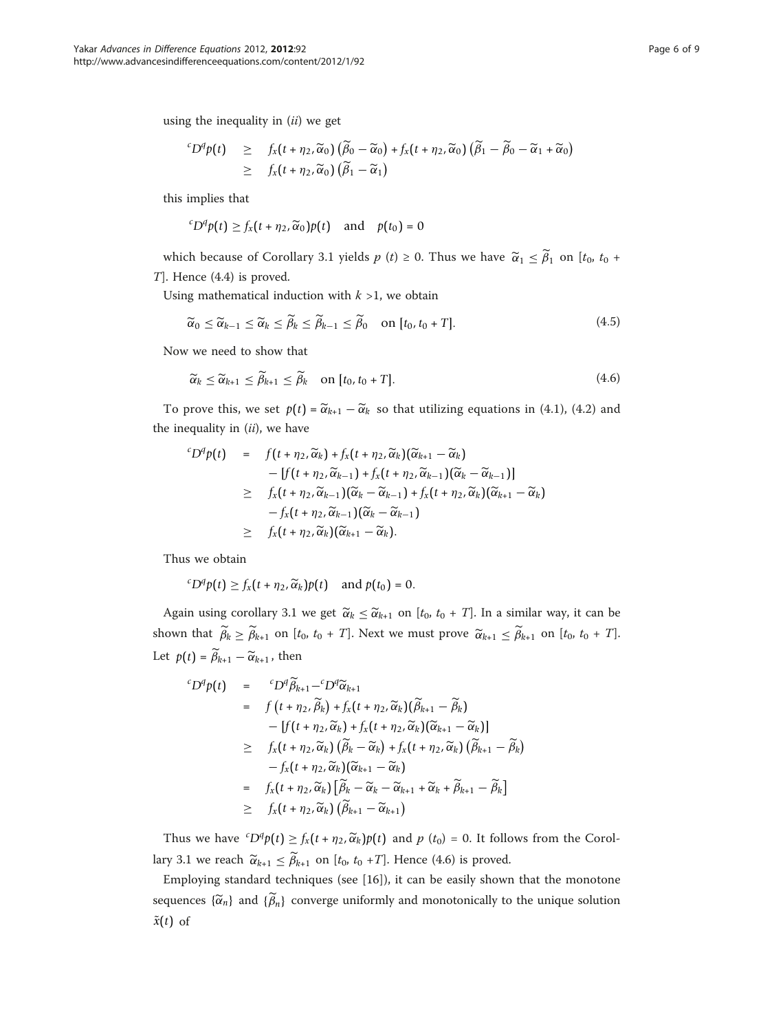using the inequality in  $(ii)$  we get

$$
{}^{c}D^{q}p(t) \geq f_{x}(t+\eta_{2},\widetilde{\alpha}_{0})\left(\widetilde{\beta}_{0}-\widetilde{\alpha}_{0}\right)+f_{x}(t+\eta_{2},\widetilde{\alpha}_{0})\left(\widetilde{\beta}_{1}-\widetilde{\beta}_{0}-\widetilde{\alpha}_{1}+\widetilde{\alpha}_{0}\right) \geq f_{x}(t+\eta_{2},\widetilde{\alpha}_{0})\left(\widetilde{\beta}_{1}-\widetilde{\alpha}_{1}\right)
$$

this implies that

$$
{}^{c}D^{q}p(t) \geq f_{x}(t + \eta_{2}, \widetilde{\alpha}_{0})p(t) \quad \text{and} \quad p(t_{0}) = 0
$$

which because of Corollary 3.1 yields  $p(t) \ge 0$ . Thus we have  $\widetilde{\alpha}_1 \le \widetilde{\beta}_1$  on  $[t_0, t_0 +$ T]. Hence (4.4) is proved.

Using mathematical induction with  $k > 1$ , we obtain

$$
\widetilde{\alpha}_0 \leq \widetilde{\alpha}_{k-1} \leq \widetilde{\alpha}_k \leq \widetilde{\beta}_k \leq \widetilde{\beta}_{k-1} \leq \widetilde{\beta}_0 \quad \text{on } [t_0, t_0 + T]. \tag{4.5}
$$

Now we need to show that

$$
\widetilde{\alpha}_k \leq \widetilde{\alpha}_{k+1} \leq \widetilde{\beta}_{k+1} \leq \widetilde{\beta}_k \quad \text{on } [t_0, t_0 + T]. \tag{4.6}
$$

To prove this, we set  $p(t) = \tilde{\alpha}_{k+1} - \tilde{\alpha}_k$  so that utilizing equations in (4.1), (4.2) and the inequality in  $(ii)$ , we have

$$
{}^{c}D^{q}p(t) = f(t + \eta_{2}, \widetilde{\alpha}_{k}) + f_{x}(t + \eta_{2}, \widetilde{\alpha}_{k}) (\widetilde{\alpha}_{k+1} - \widetilde{\alpha}_{k})
$$
  
\n
$$
- [f(t + \eta_{2}, \widetilde{\alpha}_{k-1}) + f_{x}(t + \eta_{2}, \widetilde{\alpha}_{k-1}) (\widetilde{\alpha}_{k} - \widetilde{\alpha}_{k-1})]
$$
  
\n
$$
\geq f_{x}(t + \eta_{2}, \widetilde{\alpha}_{k-1}) (\widetilde{\alpha}_{k} - \widetilde{\alpha}_{k-1}) + f_{x}(t + \eta_{2}, \widetilde{\alpha}_{k}) (\widetilde{\alpha}_{k+1} - \widetilde{\alpha}_{k})
$$
  
\n
$$
- f_{x}(t + \eta_{2}, \widetilde{\alpha}_{k-1}) (\widetilde{\alpha}_{k} - \widetilde{\alpha}_{k-1})
$$
  
\n
$$
\geq f_{x}(t + \eta_{2}, \widetilde{\alpha}_{k}) (\widetilde{\alpha}_{k+1} - \widetilde{\alpha}_{k}).
$$

Thus we obtain

$$
{}^{c}D^{q}p(t) \geq f_{x}(t+\eta_{2},\widetilde{\alpha}_{k})p(t) \quad \text{and } p(t_{0})=0.
$$

Again using corollary 3.1 we get  $\widetilde{\alpha}_k \leq \widetilde{\alpha}_{k+1}$  on  $[t_0, t_0 + T]$ . In a similar way, it can be shown that  $\tilde{\beta}_k \ge \tilde{\beta}_{k+1}$  on  $[t_0, t_0 + T]$ . Next we must prove  $\tilde{\alpha}_{k+1} \le \tilde{\beta}_{k+1}$  on  $[t_0, t_0 + T]$ . Let  $p(t) = \beta_{k+1} - \widetilde{\alpha}_{k+1}$ , then

$$
{}^{c}D^{q}p(t) = {}^{c}D^{q}\widetilde{\beta}_{k+1} - {}^{c}D^{q}\widetilde{\alpha}_{k+1}
$$
  
\n
$$
= f(t + \eta_{2}, \widetilde{\beta}_{k}) + f_{x}(t + \eta_{2}, \widetilde{\alpha}_{k}) (\widetilde{\beta}_{k+1} - \widetilde{\beta}_{k})
$$
  
\n
$$
- [f(t + \eta_{2}, \widetilde{\alpha}_{k}) + f_{x}(t + \eta_{2}, \widetilde{\alpha}_{k}) (\widetilde{\alpha}_{k+1} - \widetilde{\alpha}_{k})]
$$
  
\n
$$
\geq f_{x}(t + \eta_{2}, \widetilde{\alpha}_{k}) (\widetilde{\beta}_{k} - \widetilde{\alpha}_{k}) + f_{x}(t + \eta_{2}, \widetilde{\alpha}_{k}) (\widetilde{\beta}_{k+1} - \widetilde{\beta}_{k})
$$
  
\n
$$
- f_{x}(t + \eta_{2}, \widetilde{\alpha}_{k}) [\widetilde{\beta}_{k} - \widetilde{\alpha}_{k} - \widetilde{\alpha}_{k+1} + \widetilde{\alpha}_{k} + \widetilde{\beta}_{k+1} - \widetilde{\beta}_{k}]
$$
  
\n
$$
\geq f_{x}(t + \eta_{2}, \widetilde{\alpha}_{k}) (\widetilde{\beta}_{k+1} - \widetilde{\alpha}_{k+1})
$$

Thus we have  ${}^cD^q p(t) \geq f_x(t + \eta_2, \widetilde{\alpha}_k) p(t)$  and  $p(t_0) = 0$ . It follows from the Corollary 3.1 we reach  $\widetilde{\alpha}_{k+1} \leq \widetilde{\beta}_{k+1}$  on [ $t_0$ ,  $t_0$  +T]. Hence (4.6) is proved.

Employing standard techniques (see [\[16](#page-8-0)]), it can be easily shown that the monotone sequences  $\{\widetilde{\alpha}_n\}$  and  $\{\widetilde{\beta}_n\}$  converge uniformly and monotonically to the unique solution  $\tilde{x}(t)$  of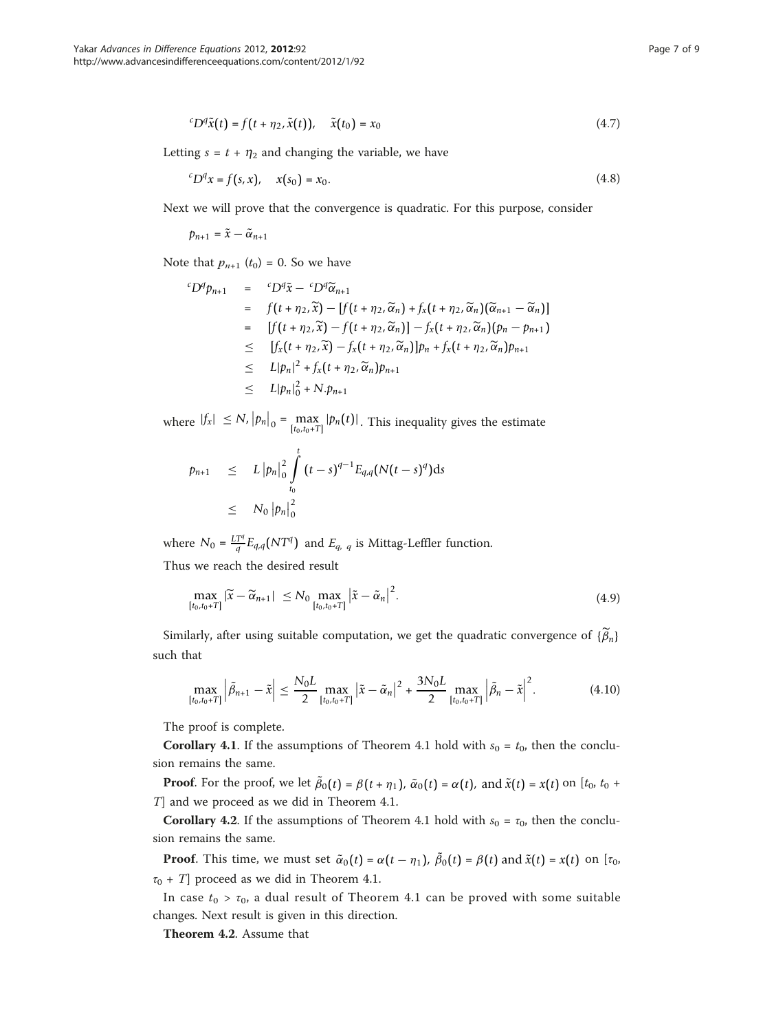$$
{}^{c}D^{q}\tilde{x}(t) = f(t + \eta_{2}, \tilde{x}(t)), \quad \tilde{x}(t_{0}) = x_{0}
$$
\n(4.7)

Letting  $s = t + \eta_2$  and changing the variable, we have

$$
{}^{c}D^{q}x = f(s, x), \quad x(s_0) = x_0. \tag{4.8}
$$

Next we will prove that the convergence is quadratic. For this purpose, consider

$$
p_{n+1} = \tilde{x} - \tilde{\alpha}_{n+1}
$$

Note that  $p_{n+1}$   $(t_0) = 0$ . So we have

$$
{}^{c}D^{q}p_{n+1} = {}^{c}D^{q}\tilde{x} - {}^{c}D^{q}\tilde{\alpha}_{n+1}
$$
  
\n
$$
= f(t + \eta_{2}, \tilde{x}) - [f(t + \eta_{2}, \tilde{\alpha}_{n}) + f_{x}(t + \eta_{2}, \tilde{\alpha}_{n}) (\tilde{\alpha}_{n+1} - \tilde{\alpha}_{n})]
$$
  
\n
$$
= [f(t + \eta_{2}, \tilde{x}) - f(t + \eta_{2}, \tilde{\alpha}_{n})] - f_{x}(t + \eta_{2}, \tilde{\alpha}_{n}) (p_{n} - p_{n+1})
$$
  
\n
$$
\leq [f_{x}(t + \eta_{2}, \tilde{x}) - f_{x}(t + \eta_{2}, \tilde{\alpha}_{n})]p_{n} + f_{x}(t + \eta_{2}, \tilde{\alpha}_{n})p_{n+1}
$$
  
\n
$$
\leq L|p_{n}|^{2} + f_{x}(t + \eta_{2}, \tilde{\alpha}_{n})p_{n+1}
$$
  
\n
$$
\leq L|p_{n}|_{0}^{2} + N.p_{n+1}
$$

where  $|f_x| \le N$ ,  $|p_n|_0 = \max_{[t_0,t_0+T]} |p_n(t)|$ . This inequality gives the estimate

$$
p_{n+1} \leq L \left| p_n \right|_0^2 \int\limits_{t_0}^t (t-s)^{q-1} E_{q,q}(N(t-s)^q) ds
$$
  
 
$$
\leq N_0 \left| p_n \right|_0^2
$$

where  $N_0 = \frac{LT^q}{q} E_{q,q}(NT^q)$  and  $E_{q,q}$  is Mittag-Leffler function. Thus we reach the desired result

 $\max_{[t_0, t_0+T]} |\widetilde{x} - \widetilde{\alpha}_{n+1}| \leq N_0 \max_{[t_0, t_0+T]}$  $\left|\tilde{x}-\tilde{\alpha}_n\right|^2$  $(4.9)$ 

Similarly, after using suitable computation, we get the quadratic convergence of  $\{\beta_n\}$ such that

$$
\max_{[t_0, t_0+T]} \left| \tilde{\beta}_{n+1} - \tilde{x} \right| \le \frac{N_0 L}{2} \max_{[t_0, t_0+T]} \left| \tilde{x} - \tilde{\alpha}_n \right|^2 + \frac{3N_0 L}{2} \max_{[t_0, t_0+T]} \left| \tilde{\beta}_n - \tilde{x} \right|^2. \tag{4.10}
$$

The proof is complete.

**Corollary 4.1**. If the assumptions of Theorem 4.1 hold with  $s_0 = t_0$ , then the conclusion remains the same.

**Proof.** For the proof, we let  $\tilde{\beta}_0(t) = \beta(t + \eta_1)$ ,  $\tilde{\alpha}_0(t) = \alpha(t)$ , and  $\tilde{x}(t) = x(t)$  on  $[t_0, t_0 +$ T] and we proceed as we did in Theorem 4.1.

**Corollary 4.2.** If the assumptions of Theorem 4.1 hold with  $s_0 = \tau_0$ , then the conclusion remains the same.

**Proof.** This time, we must set  $\tilde{\alpha}_0(t) = \alpha(t - \eta_1)$ ,  $\tilde{\beta}_0(t) = \beta(t)$  and  $\tilde{x}(t) = x(t)$  on  $[\tau_0, \tau_0]$  $\tau_0$  + T] proceed as we did in Theorem 4.1.

In case  $t_0 > \tau_0$ , a dual result of Theorem 4.1 can be proved with some suitable changes. Next result is given in this direction.

Theorem 4.2. Assume that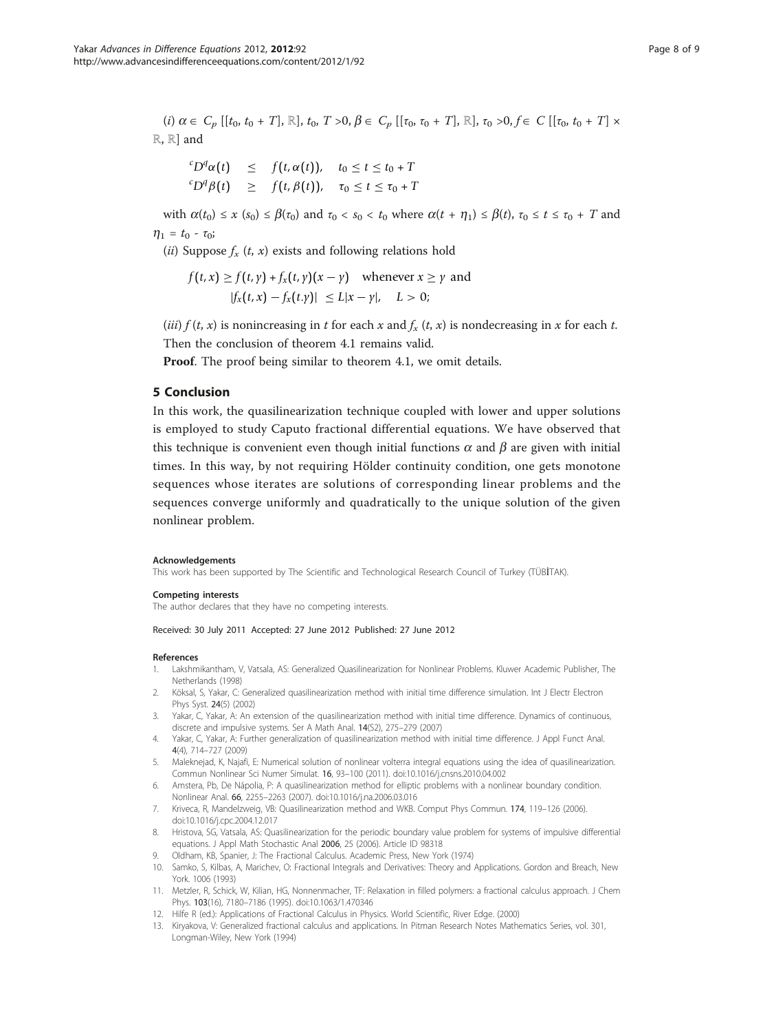<span id="page-7-0"></span>(i)  $\alpha \in C_p$  [[t<sub>0</sub>, t<sub>0</sub> + T], ℝ], t<sub>0</sub>, T >0,  $\beta \in C_p$  [[τ<sub>0</sub>, τ<sub>0</sub> + T], ℝ], τ<sub>0</sub> >0, f ∈ C [[τ<sub>0</sub>, t<sub>0</sub> + T] × ℝ, ℝ] and

$$
\begin{array}{rcl}\n^{c}D^{q}\alpha(t) & \leq & f\left(t,\alpha(t)\right), \quad t_{0} \leq t \leq t_{0} + T \\
^{c}D^{q}\beta(t) & \geq & f\left(t,\beta(t)\right), \quad \tau_{0} \leq t \leq \tau_{0} + T\n\end{array}
$$

with  $\alpha(t_0) \leq x$  (s<sub>0</sub>)  $\leq \beta(\tau_0)$  and  $\tau_0 < s_0 < t_0$  where  $\alpha(t + \eta_1) \leq \beta(t)$ ,  $\tau_0 \leq t \leq \tau_0 + T$  and  $\eta_1 = t_0 - \tau_0;$ 

(*ii*) Suppose  $f_x(t, x)$  exists and following relations hold

$$
f(t, x) \ge f(t, y) + f_x(t, y)(x - y) \quad \text{whenever } x \ge y \text{ and}
$$
  

$$
|f_x(t, x) - f_x(t, y)| \le L|x - y|, \quad L > 0;
$$

(*iii*)  $f(t, x)$  is nonincreasing in t for each x and  $f_x(t, x)$  is nondecreasing in x for each t. Then the conclusion of theorem 4.1 remains valid.

Proof. The proof being similar to theorem 4.1, we omit details.

# 5 Conclusion

In this work, the quasilinearization technique coupled with lower and upper solutions is employed to study Caputo fractional differential equations. We have observed that this technique is convenient even though initial functions  $\alpha$  and  $\beta$  are given with initial times. In this way, by not requiring Hölder continuity condition, one gets monotone sequences whose iterates are solutions of corresponding linear problems and the sequences converge uniformly and quadratically to the unique solution of the given nonlinear problem.

#### Acknowledgements

This work has been supported by The Scientific and Technological Research Council of Turkey (TÜBİTAK).

#### Competing interests

The author declares that they have no competing interests.

### Received: 30 July 2011 Accepted: 27 June 2012 Published: 27 June 2012

#### References

- 1. Lakshmikantham, V, Vatsala, AS: Generalized Quasilinearization for Nonlinear Problems. Kluwer Academic Publisher, The Netherlands (1998)
- 2. Köksal, S, Yakar, C: Generalized quasilinearization method with initial time difference simulation. Int J Electr Electron Phys Syst. 24(5) (2002)
- 3. Yakar, C, Yakar, A: An extension of the quasilinearization method with initial time difference. Dynamics of continuous, discrete and impulsive systems. Ser A Math Anal. 14(S2), 275–279 (2007)
- 4. Yakar, C, Yakar, A: Further generalization of quasilinearization method with initial time difference. J Appl Funct Anal. 4(4), 714–727 (2009)
- 5. Maleknejad, K, Najafi, E: Numerical solution of nonlinear volterra integral equations using the idea of quasilinearization. Commun Nonlinear Sci Numer Simulat. 16, 93–100 (2011). doi:10.1016/j.cnsns.2010.04.002
- 6. Amstera, Pb, De Nápolia, P: A quasilinearization method for elliptic problems with a nonlinear boundary condition. Nonlinear Anal. 66, 2255–2263 (2007). doi:10.1016/j.na.2006.03.016
- 7. Kriveca, R, Mandelzweig, VB: Quasilinearization method and WKB. Comput Phys Commun. 174, 119–126 (2006). doi:10.1016/j.cpc.2004.12.017
- 8. Hristova, SG, Vatsala, AS: Quasilinearization for the periodic boundary value problem for systems of impulsive differential equations. J Appl Math Stochastic Anal 2006, 25 (2006). Article ID 98318
- 9. Oldham, KB, Spanier, J: The Fractional Calculus. Academic Press, New York (1974)
- 10. Samko, S, Kilbas, A, Marichev, O: Fractional Integrals and Derivatives: Theory and Applications. Gordon and Breach, New York. 1006 (1993)
- 11. Metzler, R, Schick, W, Kilian, HG, Nonnenmacher, TF: Relaxation in filled polymers: a fractional calculus approach. J Chem Phys. 103(16), 7180–7186 (1995). doi:10.1063/1.470346
- 12. Hilfe R (ed.): Applications of Fractional Calculus in Physics. World Scientific, River Edge. (2000)
- 13. Kiryakova, V: Generalized fractional calculus and applications. In Pitman Research Notes Mathematics Series, vol. 301, Longman-Wiley, New York (1994)